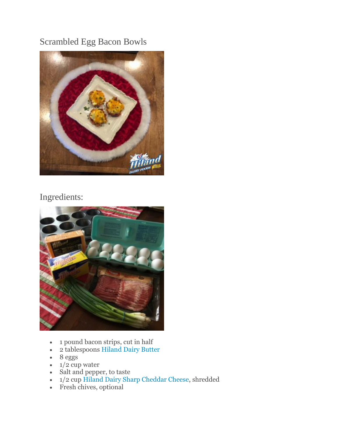## Scrambled Egg Bacon Bowls



## Ingredients:



- 1 pound bacon strips, cut in half
- 2 tablespoons [Hiland Dairy Butter](http://hilanddairy.com/products/butters/)
- $\cdot$  8 eggs
- $\bullet$  1/2 cup water
- Salt and pepper, to taste
- 1/2 cup [Hiland Dairy Sharp Cheddar Cheese,](http://hilanddairy.com/products/cheeses/) shredded
- Fresh chives, optional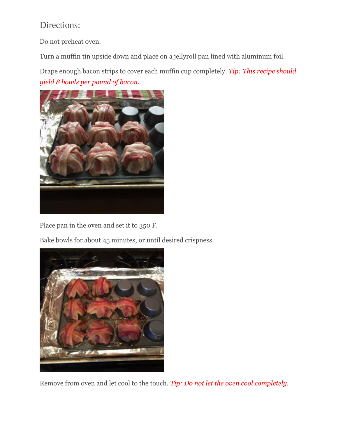## Directions:

Do not preheat oven.

Turn a muffin tin upside down and place on a jellyroll pan lined with aluminum foil.

Drape enough bacon strips to cover each muffin cup completely. *Tip: This recipe should yield 8 bowls per pound of bacon.*



Place pan in the oven and set it to 350 F.

Bake bowls for about 45 minutes, or until desired crispness.



Remove from oven and let cool to the touch. *Tip: Do not let the oven cool completely.*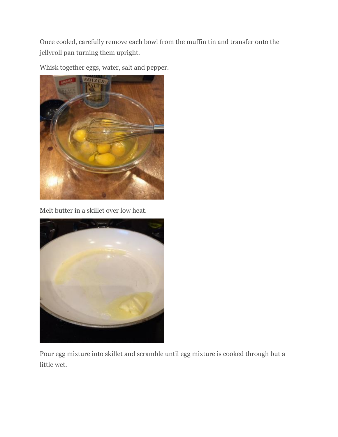Once cooled, carefully remove each bowl from the muffin tin and transfer onto the jellyroll pan turning them upright.

Whisk together eggs, water, salt and pepper.



Melt butter in a skillet over low heat.



Pour egg mixture into skillet and scramble until egg mixture is cooked through but a little wet.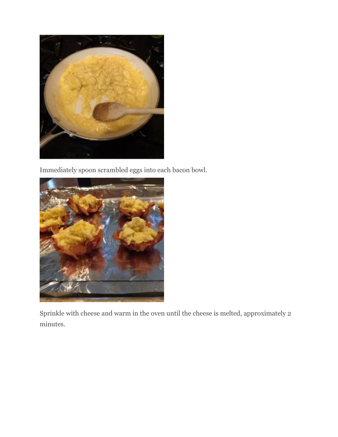

Immediately spoon scrambled eggs into each bacon bowl.



Sprinkle with cheese and warm in the oven until the cheese is melted, approximately 2 minutes.